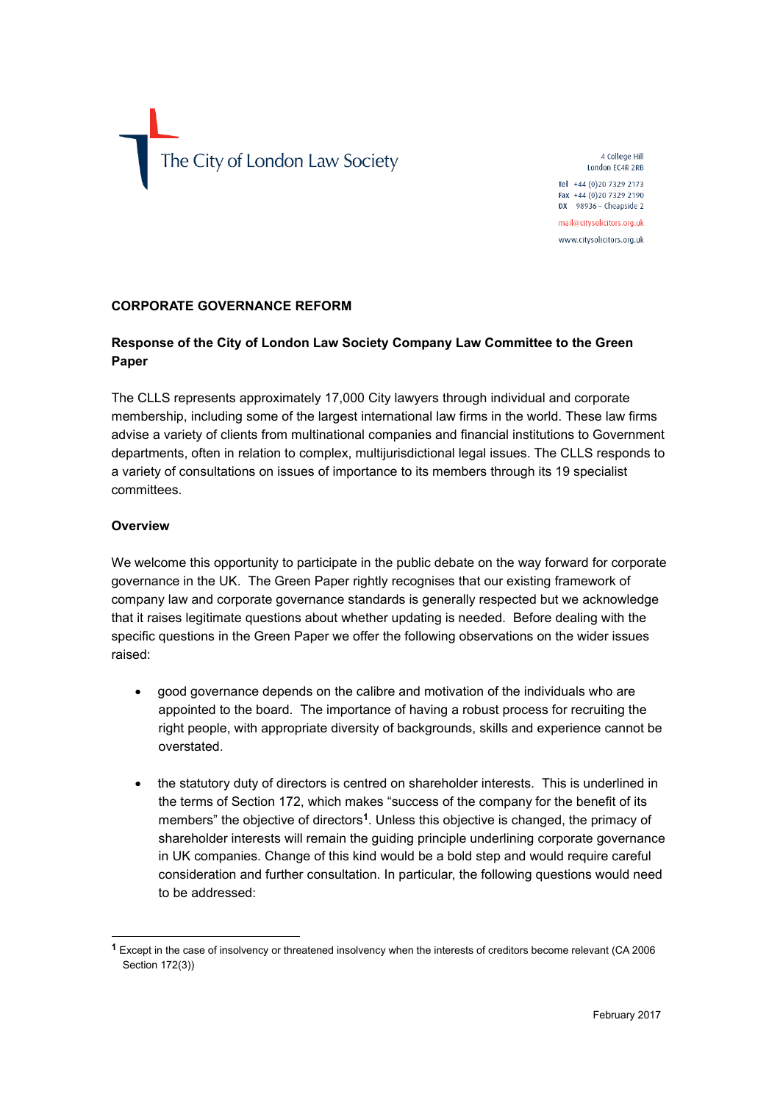

4 College Hill London EC4R 2RB Tel +44 (0)20 7329 2173

Fax +44 (0) 20 7329 2190 DX  $98936$  - Cheapside 2 mail@citysolicitors.org.uk

www.citysolicitors.org.uk

#### **CORPORATE GOVERNANCE REFORM**

## **Response of the City of London Law Society Company Law Committee to the Green Paper**

The CLLS represents approximately 17,000 City lawyers through individual and corporate membership, including some of the largest international law firms in the world. These law firms advise a variety of clients from multinational companies and financial institutions to Government departments, often in relation to complex, multijurisdictional legal issues. The CLLS responds to a variety of consultations on issues of importance to its members through its 19 specialist committees.

#### **Overview**

1

We welcome this opportunity to participate in the public debate on the way forward for corporate governance in the UK. The Green Paper rightly recognises that our existing framework of company law and corporate governance standards is generally respected but we acknowledge that it raises legitimate questions about whether updating is needed. Before dealing with the specific questions in the Green Paper we offer the following observations on the wider issues raised:

- good governance depends on the calibre and motivation of the individuals who are appointed to the board. The importance of having a robust process for recruiting the right people, with appropriate diversity of backgrounds, skills and experience cannot be overstated.
- the statutory duty of directors is centred on shareholder interests. This is underlined in the terms of Section 172, which makes "success of the company for the benefit of its members" the objective of directors**<sup>1</sup>** . Unless this objective is changed, the primacy of shareholder interests will remain the guiding principle underlining corporate governance in UK companies. Change of this kind would be a bold step and would require careful consideration and further consultation. In particular, the following questions would need to be addressed:

**<sup>1</sup>** Except in the case of insolvency or threatened insolvency when the interests of creditors become relevant (CA 2006 Section 172(3))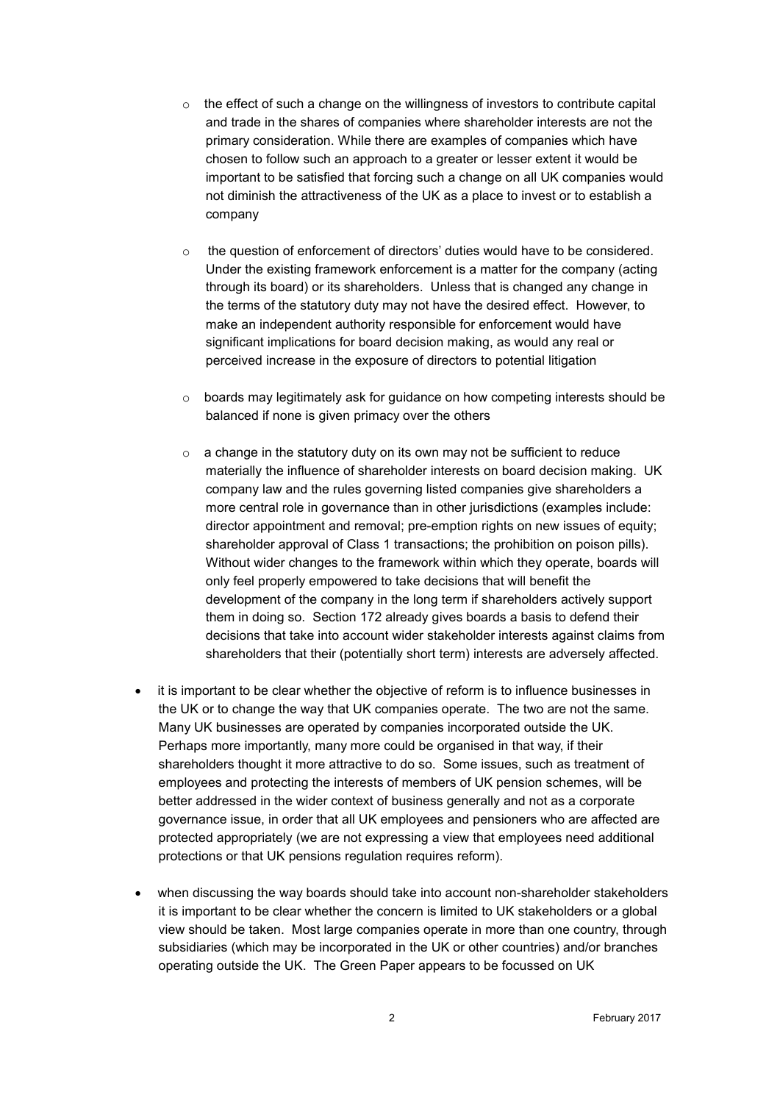- o the effect of such a change on the willingness of investors to contribute capital and trade in the shares of companies where shareholder interests are not the primary consideration. While there are examples of companies which have chosen to follow such an approach to a greater or lesser extent it would be important to be satisfied that forcing such a change on all UK companies would not diminish the attractiveness of the UK as a place to invest or to establish a company
- o the question of enforcement of directors' duties would have to be considered. Under the existing framework enforcement is a matter for the company (acting through its board) or its shareholders. Unless that is changed any change in the terms of the statutory duty may not have the desired effect. However, to make an independent authority responsible for enforcement would have significant implications for board decision making, as would any real or perceived increase in the exposure of directors to potential litigation
- $\circ$  boards may legitimately ask for guidance on how competing interests should be balanced if none is given primacy over the others
- $\circ$  a change in the statutory duty on its own may not be sufficient to reduce materially the influence of shareholder interests on board decision making. UK company law and the rules governing listed companies give shareholders a more central role in governance than in other jurisdictions (examples include: director appointment and removal; pre-emption rights on new issues of equity; shareholder approval of Class 1 transactions; the prohibition on poison pills). Without wider changes to the framework within which they operate, boards will only feel properly empowered to take decisions that will benefit the development of the company in the long term if shareholders actively support them in doing so. Section 172 already gives boards a basis to defend their decisions that take into account wider stakeholder interests against claims from shareholders that their (potentially short term) interests are adversely affected.
- it is important to be clear whether the objective of reform is to influence businesses in the UK or to change the way that UK companies operate. The two are not the same. Many UK businesses are operated by companies incorporated outside the UK. Perhaps more importantly, many more could be organised in that way, if their shareholders thought it more attractive to do so. Some issues, such as treatment of employees and protecting the interests of members of UK pension schemes, will be better addressed in the wider context of business generally and not as a corporate governance issue, in order that all UK employees and pensioners who are affected are protected appropriately (we are not expressing a view that employees need additional protections or that UK pensions regulation requires reform).
- when discussing the way boards should take into account non-shareholder stakeholders it is important to be clear whether the concern is limited to UK stakeholders or a global view should be taken. Most large companies operate in more than one country, through subsidiaries (which may be incorporated in the UK or other countries) and/or branches operating outside the UK. The Green Paper appears to be focussed on UK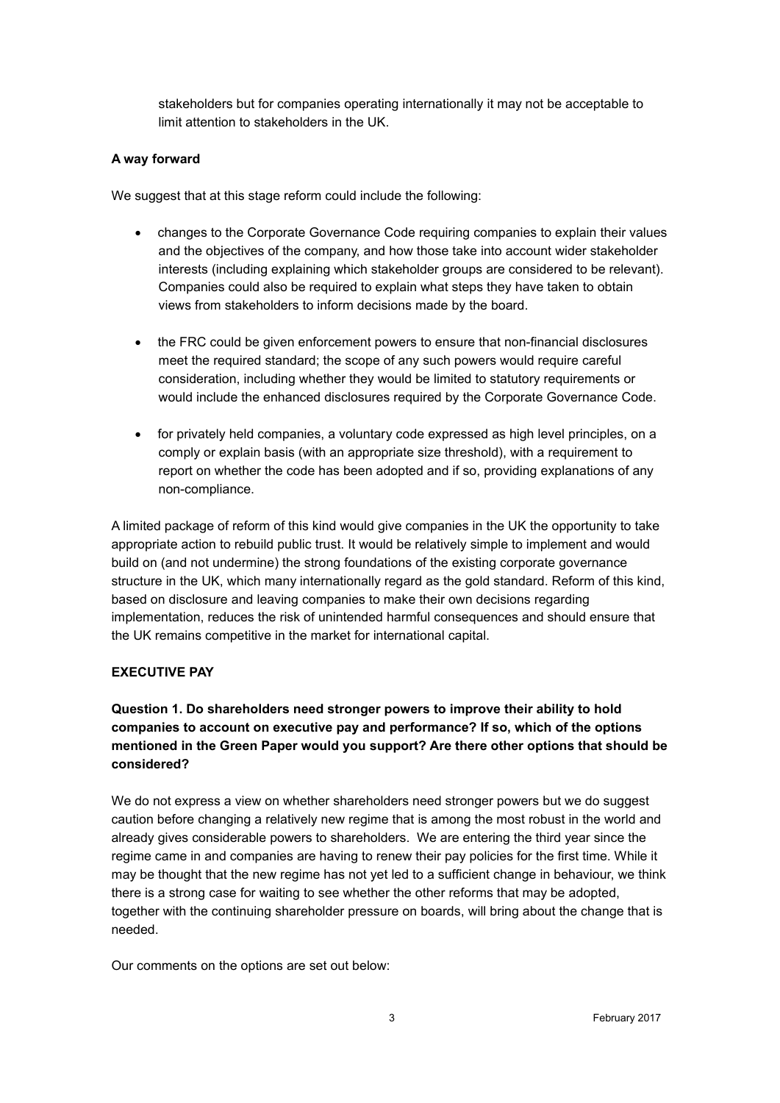stakeholders but for companies operating internationally it may not be acceptable to limit attention to stakeholders in the UK.

### **A way forward**

We suggest that at this stage reform could include the following:

- changes to the Corporate Governance Code requiring companies to explain their values and the objectives of the company, and how those take into account wider stakeholder interests (including explaining which stakeholder groups are considered to be relevant). Companies could also be required to explain what steps they have taken to obtain views from stakeholders to inform decisions made by the board.
- the FRC could be given enforcement powers to ensure that non-financial disclosures meet the required standard; the scope of any such powers would require careful consideration, including whether they would be limited to statutory requirements or would include the enhanced disclosures required by the Corporate Governance Code.
- for privately held companies, a voluntary code expressed as high level principles, on a comply or explain basis (with an appropriate size threshold), with a requirement to report on whether the code has been adopted and if so, providing explanations of any non-compliance.

A limited package of reform of this kind would give companies in the UK the opportunity to take appropriate action to rebuild public trust. It would be relatively simple to implement and would build on (and not undermine) the strong foundations of the existing corporate governance structure in the UK, which many internationally regard as the gold standard. Reform of this kind, based on disclosure and leaving companies to make their own decisions regarding implementation, reduces the risk of unintended harmful consequences and should ensure that the UK remains competitive in the market for international capital.

## **EXECUTIVE PAY**

# **Question 1. Do shareholders need stronger powers to improve their ability to hold companies to account on executive pay and performance? If so, which of the options mentioned in the Green Paper would you support? Are there other options that should be considered?**

We do not express a view on whether shareholders need stronger powers but we do suggest caution before changing a relatively new regime that is among the most robust in the world and already gives considerable powers to shareholders. We are entering the third year since the regime came in and companies are having to renew their pay policies for the first time. While it may be thought that the new regime has not yet led to a sufficient change in behaviour, we think there is a strong case for waiting to see whether the other reforms that may be adopted, together with the continuing shareholder pressure on boards, will bring about the change that is needed.

Our comments on the options are set out below: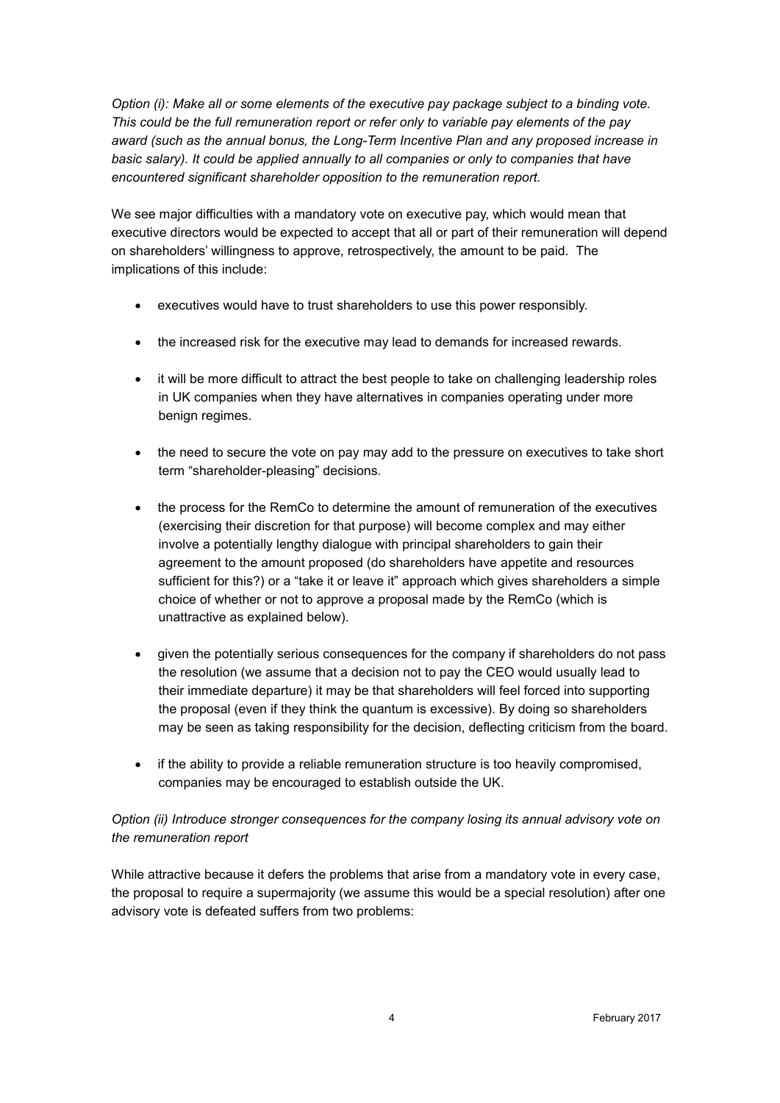*Option (i): Make all or some elements of the executive pay package subject to a binding vote. This could be the full remuneration report or refer only to variable pay elements of the pay award (such as the annual bonus, the Long-Term Incentive Plan and any proposed increase in*  basic salary). It could be applied annually to all companies or only to companies that have *encountered significant shareholder opposition to the remuneration report.*

We see major difficulties with a mandatory vote on executive pay, which would mean that executive directors would be expected to accept that all or part of their remuneration will depend on shareholders' willingness to approve, retrospectively, the amount to be paid. The implications of this include:

- executives would have to trust shareholders to use this power responsibly.
- the increased risk for the executive may lead to demands for increased rewards.
- it will be more difficult to attract the best people to take on challenging leadership roles in UK companies when they have alternatives in companies operating under more benign regimes.
- the need to secure the vote on pay may add to the pressure on executives to take short term "shareholder-pleasing" decisions.
- the process for the RemCo to determine the amount of remuneration of the executives (exercising their discretion for that purpose) will become complex and may either involve a potentially lengthy dialogue with principal shareholders to gain their agreement to the amount proposed (do shareholders have appetite and resources sufficient for this?) or a "take it or leave it" approach which gives shareholders a simple choice of whether or not to approve a proposal made by the RemCo (which is unattractive as explained below).
- given the potentially serious consequences for the company if shareholders do not pass the resolution (we assume that a decision not to pay the CEO would usually lead to their immediate departure) it may be that shareholders will feel forced into supporting the proposal (even if they think the quantum is excessive). By doing so shareholders may be seen as taking responsibility for the decision, deflecting criticism from the board.
- if the ability to provide a reliable remuneration structure is too heavily compromised, companies may be encouraged to establish outside the UK.

## *Option (ii) Introduce stronger consequences for the company losing its annual advisory vote on the remuneration report*

While attractive because it defers the problems that arise from a mandatory vote in every case, the proposal to require a supermajority (we assume this would be a special resolution) after one advisory vote is defeated suffers from two problems: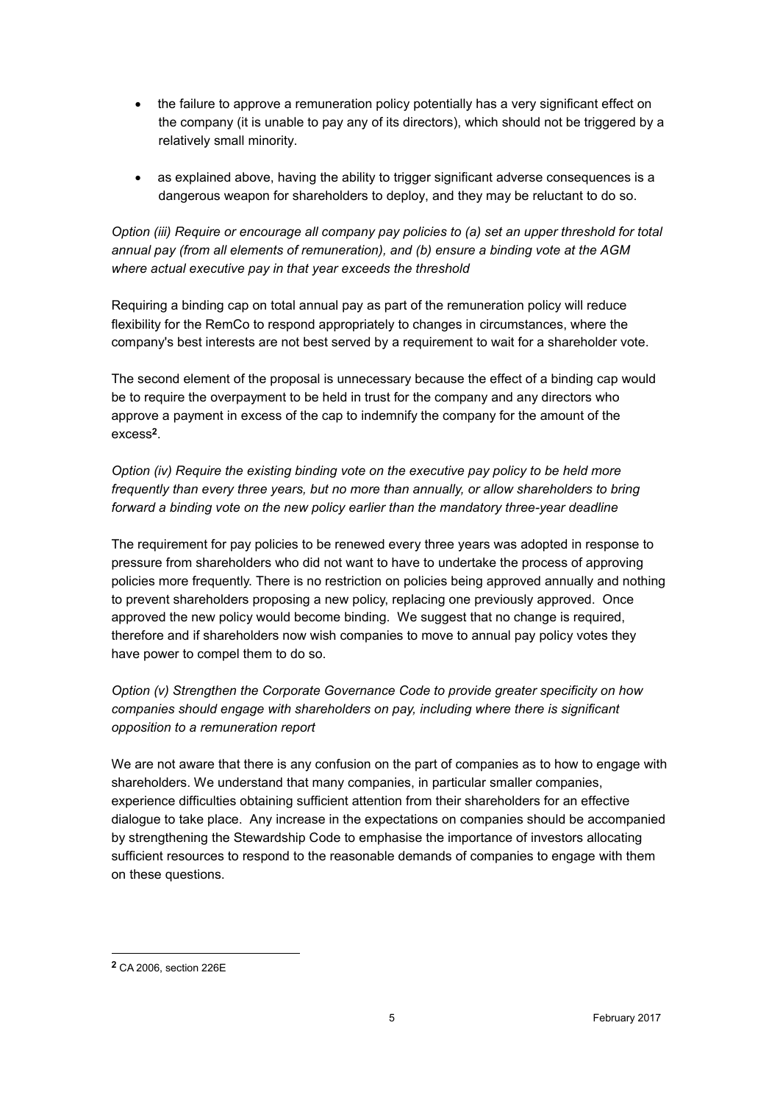- the failure to approve a remuneration policy potentially has a very significant effect on the company (it is unable to pay any of its directors), which should not be triggered by a relatively small minority.
- as explained above, having the ability to trigger significant adverse consequences is a dangerous weapon for shareholders to deploy, and they may be reluctant to do so.

*Option (iii) Require or encourage all company pay policies to (a) set an upper threshold for total annual pay (from all elements of remuneration), and (b) ensure a binding vote at the AGM where actual executive pay in that year exceeds the threshold*

Requiring a binding cap on total annual pay as part of the remuneration policy will reduce flexibility for the RemCo to respond appropriately to changes in circumstances, where the company's best interests are not best served by a requirement to wait for a shareholder vote.

The second element of the proposal is unnecessary because the effect of a binding cap would be to require the overpayment to be held in trust for the company and any directors who approve a payment in excess of the cap to indemnify the company for the amount of the excess**<sup>2</sup>** .

*Option (iv) Require the existing binding vote on the executive pay policy to be held more frequently than every three years, but no more than annually, or allow shareholders to bring forward a binding vote on the new policy earlier than the mandatory three-year deadline*

The requirement for pay policies to be renewed every three years was adopted in response to pressure from shareholders who did not want to have to undertake the process of approving policies more frequently. There is no restriction on policies being approved annually and nothing to prevent shareholders proposing a new policy, replacing one previously approved. Once approved the new policy would become binding. We suggest that no change is required, therefore and if shareholders now wish companies to move to annual pay policy votes they have power to compel them to do so.

*Option (v) Strengthen the Corporate Governance Code to provide greater specificity on how companies should engage with shareholders on pay, including where there is significant opposition to a remuneration report*

We are not aware that there is any confusion on the part of companies as to how to engage with shareholders. We understand that many companies, in particular smaller companies, experience difficulties obtaining sufficient attention from their shareholders for an effective dialogue to take place. Any increase in the expectations on companies should be accompanied by strengthening the Stewardship Code to emphasise the importance of investors allocating sufficient resources to respond to the reasonable demands of companies to engage with them on these questions.

1

**<sup>2</sup>** CA 2006, section 226E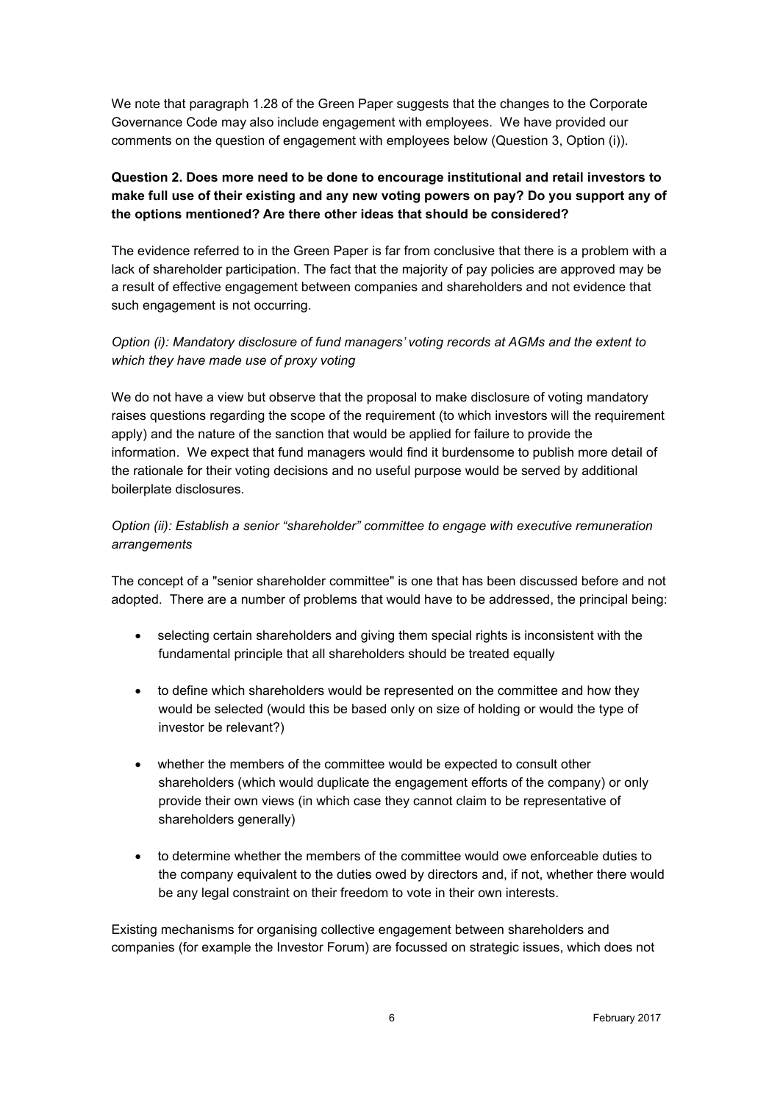We note that paragraph 1.28 of the Green Paper suggests that the changes to the Corporate Governance Code may also include engagement with employees. We have provided our comments on the question of engagement with employees below (Question 3, Option (i)).

# **Question 2. Does more need to be done to encourage institutional and retail investors to make full use of their existing and any new voting powers on pay? Do you support any of the options mentioned? Are there other ideas that should be considered?**

The evidence referred to in the Green Paper is far from conclusive that there is a problem with a lack of shareholder participation. The fact that the majority of pay policies are approved may be a result of effective engagement between companies and shareholders and not evidence that such engagement is not occurring.

## *Option (i): Mandatory disclosure of fund managers' voting records at AGMs and the extent to which they have made use of proxy voting*

We do not have a view but observe that the proposal to make disclosure of voting mandatory raises questions regarding the scope of the requirement (to which investors will the requirement apply) and the nature of the sanction that would be applied for failure to provide the information. We expect that fund managers would find it burdensome to publish more detail of the rationale for their voting decisions and no useful purpose would be served by additional boilerplate disclosures.

## *Option (ii): Establish a senior "shareholder" committee to engage with executive remuneration arrangements*

The concept of a "senior shareholder committee" is one that has been discussed before and not adopted. There are a number of problems that would have to be addressed, the principal being:

- selecting certain shareholders and giving them special rights is inconsistent with the fundamental principle that all shareholders should be treated equally
- to define which shareholders would be represented on the committee and how they would be selected (would this be based only on size of holding or would the type of investor be relevant?)
- whether the members of the committee would be expected to consult other shareholders (which would duplicate the engagement efforts of the company) or only provide their own views (in which case they cannot claim to be representative of shareholders generally)
- to determine whether the members of the committee would owe enforceable duties to the company equivalent to the duties owed by directors and, if not, whether there would be any legal constraint on their freedom to vote in their own interests.

Existing mechanisms for organising collective engagement between shareholders and companies (for example the Investor Forum) are focussed on strategic issues, which does not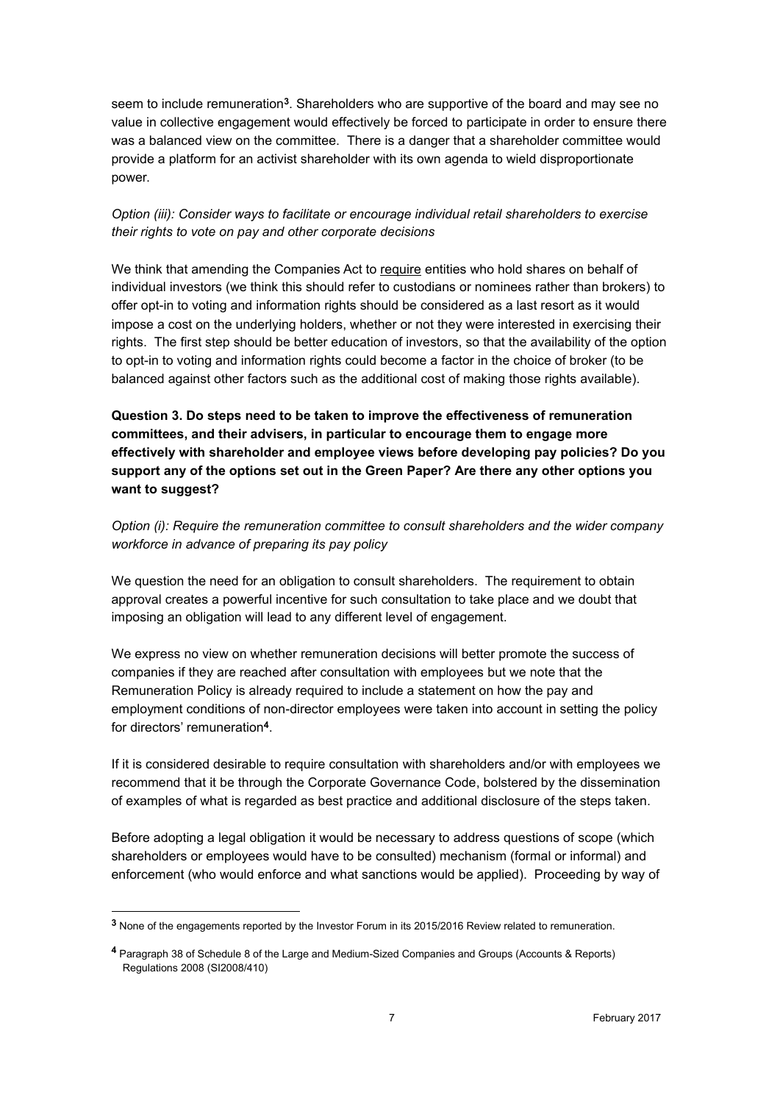seem to include remuneration**<sup>3</sup>** . Shareholders who are supportive of the board and may see no value in collective engagement would effectively be forced to participate in order to ensure there was a balanced view on the committee. There is a danger that a shareholder committee would provide a platform for an activist shareholder with its own agenda to wield disproportionate power.

## *Option (iii): Consider ways to facilitate or encourage individual retail shareholders to exercise their rights to vote on pay and other corporate decisions*

We think that amending the Companies Act to require entities who hold shares on behalf of individual investors (we think this should refer to custodians or nominees rather than brokers) to offer opt-in to voting and information rights should be considered as a last resort as it would impose a cost on the underlying holders, whether or not they were interested in exercising their rights. The first step should be better education of investors, so that the availability of the option to opt-in to voting and information rights could become a factor in the choice of broker (to be balanced against other factors such as the additional cost of making those rights available).

**Question 3. Do steps need to be taken to improve the effectiveness of remuneration committees, and their advisers, in particular to encourage them to engage more effectively with shareholder and employee views before developing pay policies? Do you support any of the options set out in the Green Paper? Are there any other options you want to suggest?**

*Option (i): Require the remuneration committee to consult shareholders and the wider company workforce in advance of preparing its pay policy*

We question the need for an obligation to consult shareholders. The requirement to obtain approval creates a powerful incentive for such consultation to take place and we doubt that imposing an obligation will lead to any different level of engagement.

We express no view on whether remuneration decisions will better promote the success of companies if they are reached after consultation with employees but we note that the Remuneration Policy is already required to include a statement on how the pay and employment conditions of non-director employees were taken into account in setting the policy for directors' remuneration**<sup>4</sup>** .

If it is considered desirable to require consultation with shareholders and/or with employees we recommend that it be through the Corporate Governance Code, bolstered by the dissemination of examples of what is regarded as best practice and additional disclosure of the steps taken.

Before adopting a legal obligation it would be necessary to address questions of scope (which shareholders or employees would have to be consulted) mechanism (formal or informal) and enforcement (who would enforce and what sanctions would be applied). Proceeding by way of

-

**<sup>3</sup>** None of the engagements reported by the Investor Forum in its 2015/2016 Review related to remuneration.

**<sup>4</sup>** Paragraph 38 of Schedule 8 of the Large and Medium-Sized Companies and Groups (Accounts & Reports) Regulations 2008 (SI2008/410)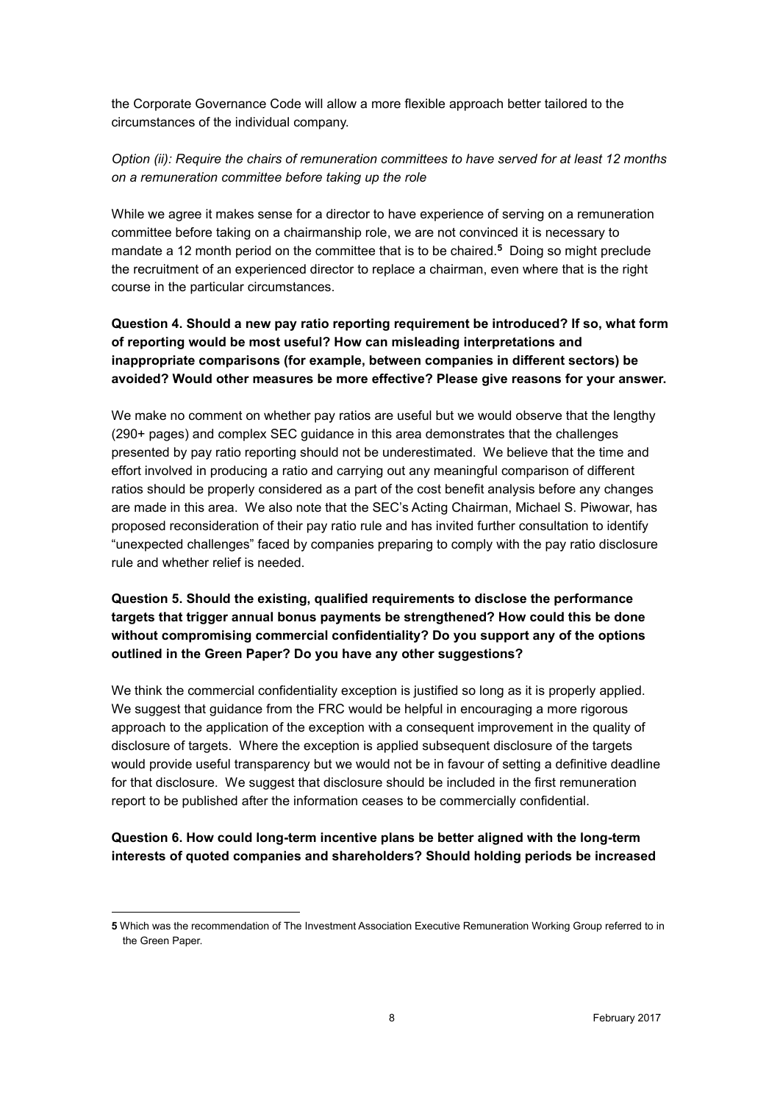the Corporate Governance Code will allow a more flexible approach better tailored to the circumstances of the individual company.

*Option (ii): Require the chairs of remuneration committees to have served for at least 12 months on a remuneration committee before taking up the role*

While we agree it makes sense for a director to have experience of serving on a remuneration committee before taking on a chairmanship role, we are not convinced it is necessary to mandate a 12 month period on the committee that is to be chaired.**<sup>5</sup>** Doing so might preclude the recruitment of an experienced director to replace a chairman, even where that is the right course in the particular circumstances.

# **Question 4. Should a new pay ratio reporting requirement be introduced? If so, what form of reporting would be most useful? How can misleading interpretations and inappropriate comparisons (for example, between companies in different sectors) be avoided? Would other measures be more effective? Please give reasons for your answer.**

We make no comment on whether pay ratios are useful but we would observe that the lengthy (290+ pages) and complex SEC guidance in this area demonstrates that the challenges presented by pay ratio reporting should not be underestimated. We believe that the time and effort involved in producing a ratio and carrying out any meaningful comparison of different ratios should be properly considered as a part of the cost benefit analysis before any changes are made in this area. We also note that the SEC's Acting Chairman, Michael S. Piwowar, has proposed reconsideration of their pay ratio rule and has invited further consultation to identify "unexpected challenges" faced by companies preparing to comply with the pay ratio disclosure rule and whether relief is needed.

# **Question 5. Should the existing, qualified requirements to disclose the performance targets that trigger annual bonus payments be strengthened? How could this be done without compromising commercial confidentiality? Do you support any of the options outlined in the Green Paper? Do you have any other suggestions?**

We think the commercial confidentiality exception is justified so long as it is properly applied. We suggest that guidance from the FRC would be helpful in encouraging a more rigorous approach to the application of the exception with a consequent improvement in the quality of disclosure of targets. Where the exception is applied subsequent disclosure of the targets would provide useful transparency but we would not be in favour of setting a definitive deadline for that disclosure. We suggest that disclosure should be included in the first remuneration report to be published after the information ceases to be commercially confidential.

# **Question 6. How could long-term incentive plans be better aligned with the long-term interests of quoted companies and shareholders? Should holding periods be increased**

1

**<sup>5</sup>** Which was the recommendation of The Investment Association Executive Remuneration Working Group referred to in the Green Paper.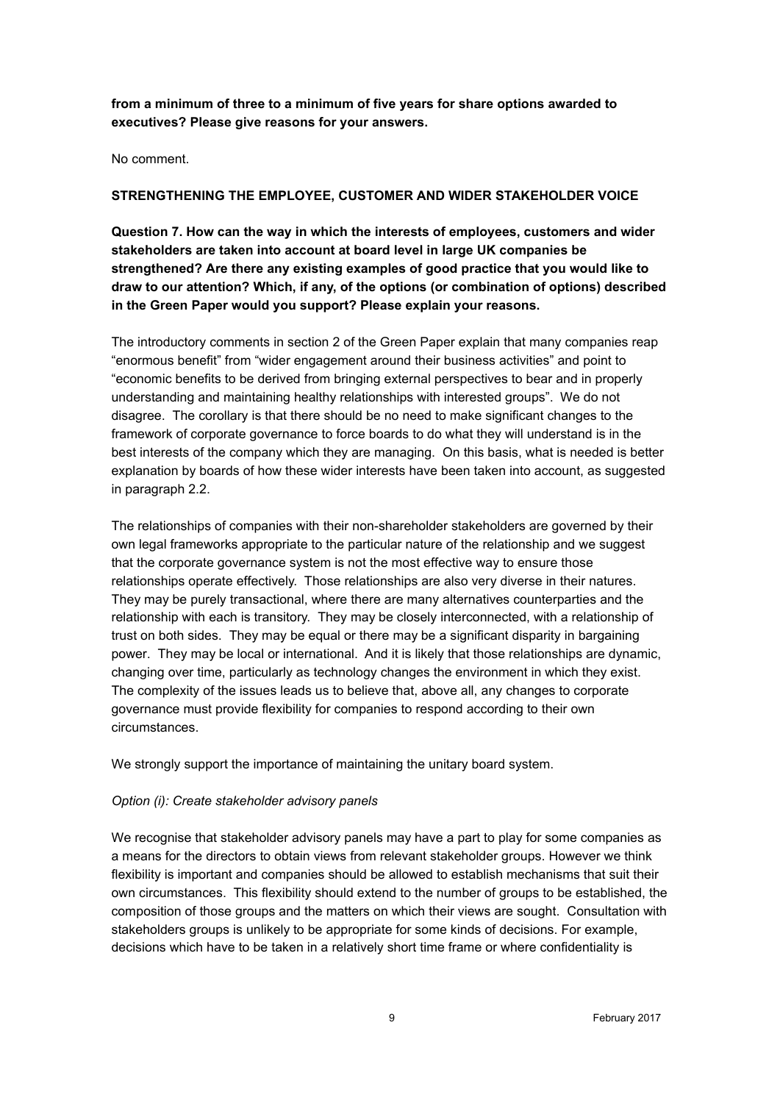**from a minimum of three to a minimum of five years for share options awarded to executives? Please give reasons for your answers.**

No comment.

### **STRENGTHENING THE EMPLOYEE, CUSTOMER AND WIDER STAKEHOLDER VOICE**

**Question 7. How can the way in which the interests of employees, customers and wider stakeholders are taken into account at board level in large UK companies be strengthened? Are there any existing examples of good practice that you would like to draw to our attention? Which, if any, of the options (or combination of options) described in the Green Paper would you support? Please explain your reasons.**

The introductory comments in section 2 of the Green Paper explain that many companies reap "enormous benefit" from "wider engagement around their business activities" and point to "economic benefits to be derived from bringing external perspectives to bear and in properly understanding and maintaining healthy relationships with interested groups". We do not disagree. The corollary is that there should be no need to make significant changes to the framework of corporate governance to force boards to do what they will understand is in the best interests of the company which they are managing. On this basis, what is needed is better explanation by boards of how these wider interests have been taken into account, as suggested in paragraph 2.2.

The relationships of companies with their non-shareholder stakeholders are governed by their own legal frameworks appropriate to the particular nature of the relationship and we suggest that the corporate governance system is not the most effective way to ensure those relationships operate effectively. Those relationships are also very diverse in their natures. They may be purely transactional, where there are many alternatives counterparties and the relationship with each is transitory. They may be closely interconnected, with a relationship of trust on both sides. They may be equal or there may be a significant disparity in bargaining power. They may be local or international. And it is likely that those relationships are dynamic, changing over time, particularly as technology changes the environment in which they exist. The complexity of the issues leads us to believe that, above all, any changes to corporate governance must provide flexibility for companies to respond according to their own circumstances.

We strongly support the importance of maintaining the unitary board system.

### *Option (i): Create stakeholder advisory panels*

We recognise that stakeholder advisory panels may have a part to play for some companies as a means for the directors to obtain views from relevant stakeholder groups. However we think flexibility is important and companies should be allowed to establish mechanisms that suit their own circumstances. This flexibility should extend to the number of groups to be established, the composition of those groups and the matters on which their views are sought. Consultation with stakeholders groups is unlikely to be appropriate for some kinds of decisions. For example, decisions which have to be taken in a relatively short time frame or where confidentiality is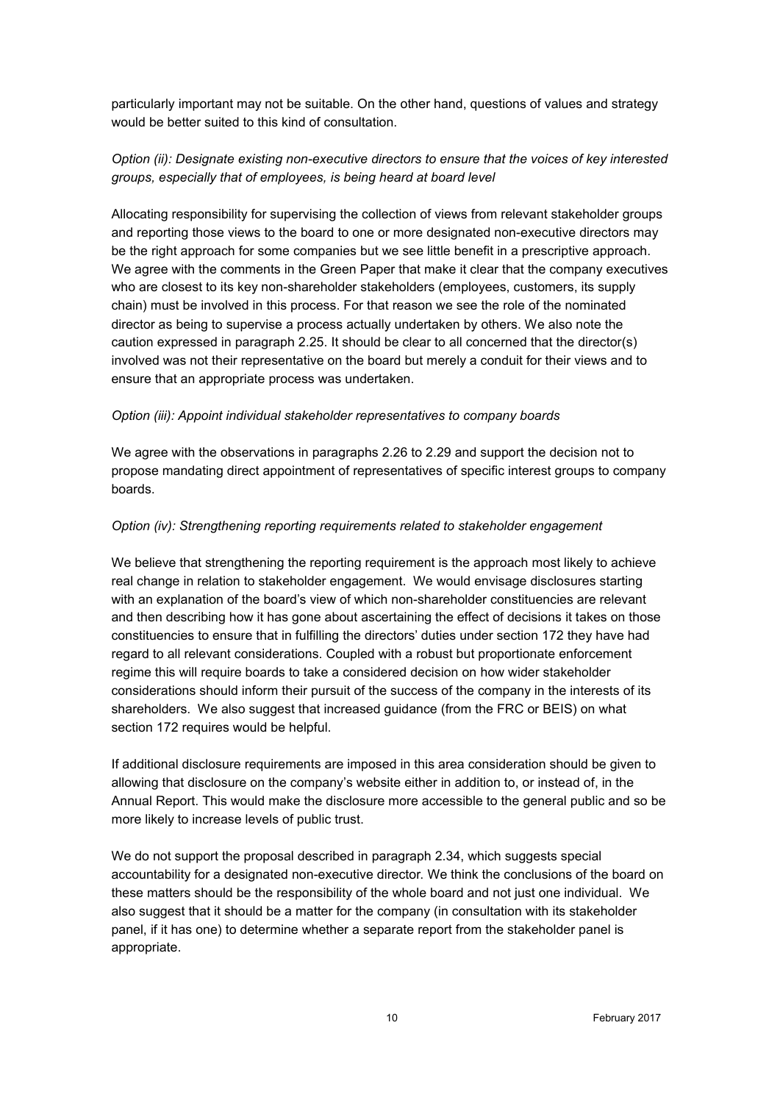particularly important may not be suitable. On the other hand, questions of values and strategy would be better suited to this kind of consultation.

## *Option (ii): Designate existing non-executive directors to ensure that the voices of key interested groups, especially that of employees, is being heard at board level*

Allocating responsibility for supervising the collection of views from relevant stakeholder groups and reporting those views to the board to one or more designated non-executive directors may be the right approach for some companies but we see little benefit in a prescriptive approach. We agree with the comments in the Green Paper that make it clear that the company executives who are closest to its key non-shareholder stakeholders (employees, customers, its supply chain) must be involved in this process. For that reason we see the role of the nominated director as being to supervise a process actually undertaken by others. We also note the caution expressed in paragraph 2.25. It should be clear to all concerned that the director(s) involved was not their representative on the board but merely a conduit for their views and to ensure that an appropriate process was undertaken.

#### *Option (iii): Appoint individual stakeholder representatives to company boards*

We agree with the observations in paragraphs 2.26 to 2.29 and support the decision not to propose mandating direct appointment of representatives of specific interest groups to company boards.

#### *Option (iv): Strengthening reporting requirements related to stakeholder engagement*

We believe that strengthening the reporting requirement is the approach most likely to achieve real change in relation to stakeholder engagement. We would envisage disclosures starting with an explanation of the board's view of which non-shareholder constituencies are relevant and then describing how it has gone about ascertaining the effect of decisions it takes on those constituencies to ensure that in fulfilling the directors' duties under section 172 they have had regard to all relevant considerations. Coupled with a robust but proportionate enforcement regime this will require boards to take a considered decision on how wider stakeholder considerations should inform their pursuit of the success of the company in the interests of its shareholders. We also suggest that increased guidance (from the FRC or BEIS) on what section 172 requires would be helpful.

If additional disclosure requirements are imposed in this area consideration should be given to allowing that disclosure on the company's website either in addition to, or instead of, in the Annual Report. This would make the disclosure more accessible to the general public and so be more likely to increase levels of public trust.

We do not support the proposal described in paragraph 2.34, which suggests special accountability for a designated non-executive director. We think the conclusions of the board on these matters should be the responsibility of the whole board and not just one individual. We also suggest that it should be a matter for the company (in consultation with its stakeholder panel, if it has one) to determine whether a separate report from the stakeholder panel is appropriate.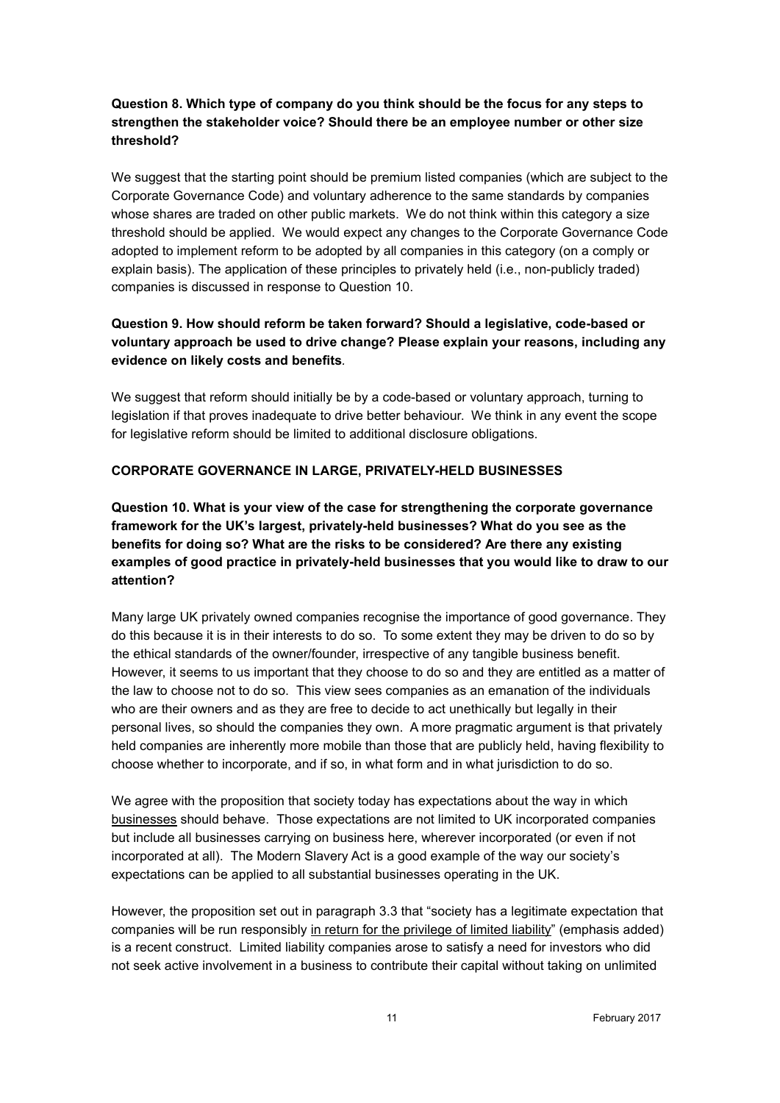# **Question 8. Which type of company do you think should be the focus for any steps to strengthen the stakeholder voice? Should there be an employee number or other size threshold?**

We suggest that the starting point should be premium listed companies (which are subject to the Corporate Governance Code) and voluntary adherence to the same standards by companies whose shares are traded on other public markets. We do not think within this category a size threshold should be applied. We would expect any changes to the Corporate Governance Code adopted to implement reform to be adopted by all companies in this category (on a comply or explain basis). The application of these principles to privately held (i.e., non-publicly traded) companies is discussed in response to Question 10.

# **Question 9. How should reform be taken forward? Should a legislative, code-based or voluntary approach be used to drive change? Please explain your reasons, including any evidence on likely costs and benefits***.*

We suggest that reform should initially be by a code-based or voluntary approach, turning to legislation if that proves inadequate to drive better behaviour. We think in any event the scope for legislative reform should be limited to additional disclosure obligations.

## **CORPORATE GOVERNANCE IN LARGE, PRIVATELY-HELD BUSINESSES**

**Question 10. What is your view of the case for strengthening the corporate governance framework for the UK's largest, privately-held businesses? What do you see as the benefits for doing so? What are the risks to be considered? Are there any existing examples of good practice in privately-held businesses that you would like to draw to our attention?**

Many large UK privately owned companies recognise the importance of good governance. They do this because it is in their interests to do so. To some extent they may be driven to do so by the ethical standards of the owner/founder, irrespective of any tangible business benefit. However, it seems to us important that they choose to do so and they are entitled as a matter of the law to choose not to do so. This view sees companies as an emanation of the individuals who are their owners and as they are free to decide to act unethically but legally in their personal lives, so should the companies they own. A more pragmatic argument is that privately held companies are inherently more mobile than those that are publicly held, having flexibility to choose whether to incorporate, and if so, in what form and in what jurisdiction to do so.

We agree with the proposition that society today has expectations about the way in which businesses should behave. Those expectations are not limited to UK incorporated companies but include all businesses carrying on business here, wherever incorporated (or even if not incorporated at all). The Modern Slavery Act is a good example of the way our society's expectations can be applied to all substantial businesses operating in the UK.

However, the proposition set out in paragraph 3.3 that "society has a legitimate expectation that companies will be run responsibly in return for the privilege of limited liability" (emphasis added) is a recent construct. Limited liability companies arose to satisfy a need for investors who did not seek active involvement in a business to contribute their capital without taking on unlimited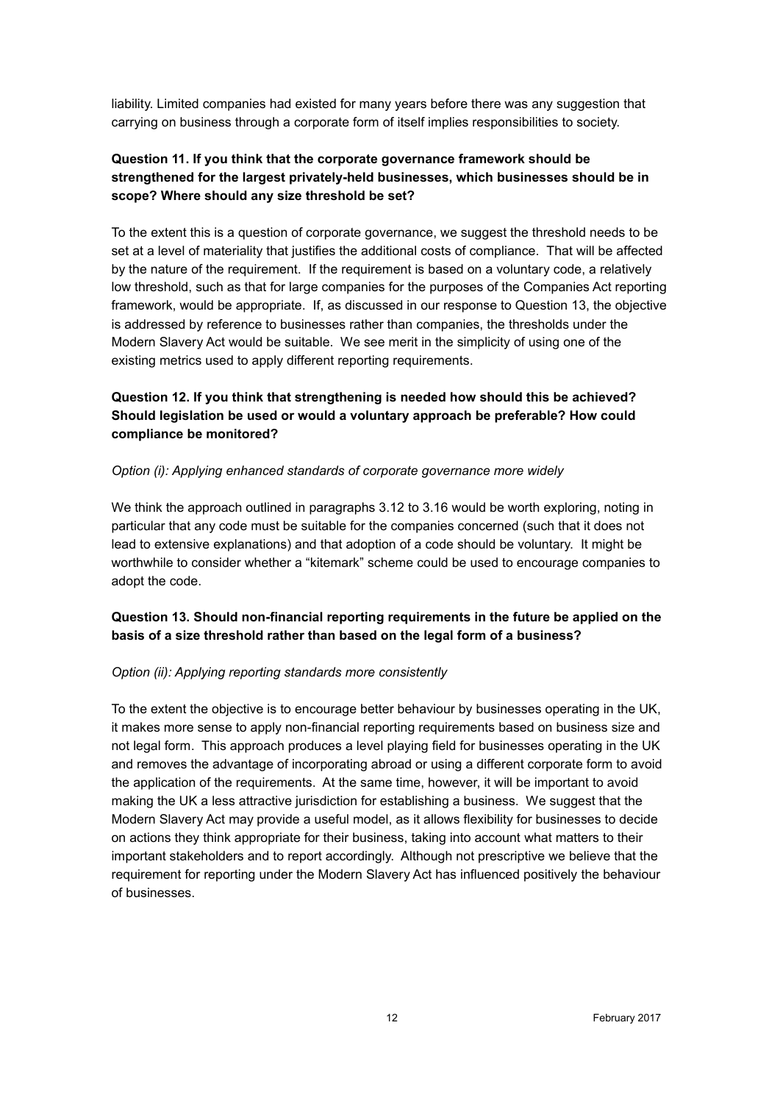liability. Limited companies had existed for many years before there was any suggestion that carrying on business through a corporate form of itself implies responsibilities to society.

# **Question 11. If you think that the corporate governance framework should be strengthened for the largest privately-held businesses, which businesses should be in scope? Where should any size threshold be set?**

To the extent this is a question of corporate governance, we suggest the threshold needs to be set at a level of materiality that justifies the additional costs of compliance. That will be affected by the nature of the requirement. If the requirement is based on a voluntary code, a relatively low threshold, such as that for large companies for the purposes of the Companies Act reporting framework, would be appropriate. If, as discussed in our response to Question 13, the objective is addressed by reference to businesses rather than companies, the thresholds under the Modern Slavery Act would be suitable. We see merit in the simplicity of using one of the existing metrics used to apply different reporting requirements.

# **Question 12. If you think that strengthening is needed how should this be achieved? Should legislation be used or would a voluntary approach be preferable? How could compliance be monitored?**

## *Option (i): Applying enhanced standards of corporate governance more widely*

We think the approach outlined in paragraphs 3.12 to 3.16 would be worth exploring, noting in particular that any code must be suitable for the companies concerned (such that it does not lead to extensive explanations) and that adoption of a code should be voluntary. It might be worthwhile to consider whether a "kitemark" scheme could be used to encourage companies to adopt the code.

# **Question 13. Should non-financial reporting requirements in the future be applied on the basis of a size threshold rather than based on the legal form of a business?**

### *Option (ii): Applying reporting standards more consistently*

To the extent the objective is to encourage better behaviour by businesses operating in the UK, it makes more sense to apply non-financial reporting requirements based on business size and not legal form. This approach produces a level playing field for businesses operating in the UK and removes the advantage of incorporating abroad or using a different corporate form to avoid the application of the requirements. At the same time, however, it will be important to avoid making the UK a less attractive jurisdiction for establishing a business. We suggest that the Modern Slavery Act may provide a useful model, as it allows flexibility for businesses to decide on actions they think appropriate for their business, taking into account what matters to their important stakeholders and to report accordingly. Although not prescriptive we believe that the requirement for reporting under the Modern Slavery Act has influenced positively the behaviour of businesses.